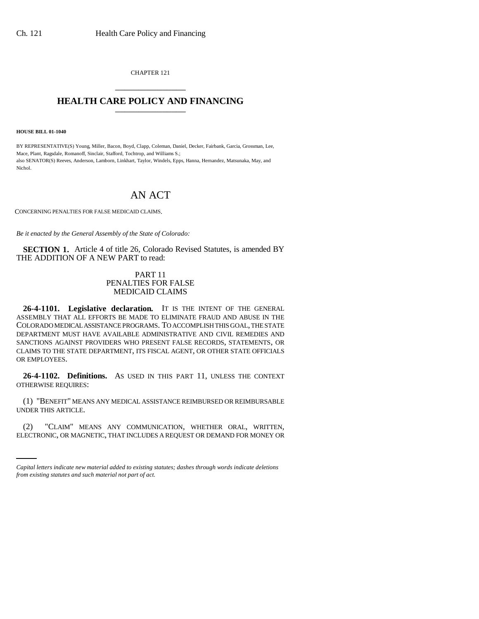CHAPTER 121 \_\_\_\_\_\_\_\_\_\_\_\_\_\_\_

## **HEALTH CARE POLICY AND FINANCING**

**HOUSE BILL 01-1040**

BY REPRESENTATIVE(S) Young, Miller, Bacon, Boyd, Clapp, Coleman, Daniel, Decker, Fairbank, Garcia, Grossman, Lee, Mace, Plant, Ragsdale, Romanoff, Sinclair, Stafford, Tochtrop, and Williams S.; also SENATOR(S) Reeves, Anderson, Lamborn, Linkhart, Taylor, Windels, Epps, Hanna, Hernandez, Matsunaka, May, and Nichol.

## AN ACT

CONCERNING PENALTIES FOR FALSE MEDICAID CLAIMS.

*Be it enacted by the General Assembly of the State of Colorado:*

**SECTION 1.** Article 4 of title 26, Colorado Revised Statutes, is amended BY THE ADDITION OF A NEW PART to read:

## PART 11 PENALTIES FOR FALSE MEDICAID CLAIMS

**26-4-1101. Legislative declaration.** IT IS THE INTENT OF THE GENERAL ASSEMBLY THAT ALL EFFORTS BE MADE TO ELIMINATE FRAUD AND ABUSE IN THE COLORADO MEDICAL ASSISTANCE PROGRAMS. TO ACCOMPLISH THIS GOAL, THE STATE DEPARTMENT MUST HAVE AVAILABLE ADMINISTRATIVE AND CIVIL REMEDIES AND SANCTIONS AGAINST PROVIDERS WHO PRESENT FALSE RECORDS, STATEMENTS, OR CLAIMS TO THE STATE DEPARTMENT, ITS FISCAL AGENT, OR OTHER STATE OFFICIALS OR EMPLOYEES.

**26-4-1102. Definitions.** AS USED IN THIS PART 11, UNLESS THE CONTEXT OTHERWISE REQUIRES:

(1) "BENEFIT" MEANS ANY MEDICAL ASSISTANCE REIMBURSED OR REIMBURSABLE UNDER THIS ARTICLE.

(2) "CLAIM" MEANS ANY COMMUNICATION, WHETHER ORAL, WRITTEN, ELECTRONIC, OR MAGNETIC, THAT INCLUDES A REQUEST OR DEMAND FOR MONEY OR

*Capital letters indicate new material added to existing statutes; dashes through words indicate deletions from existing statutes and such material not part of act.*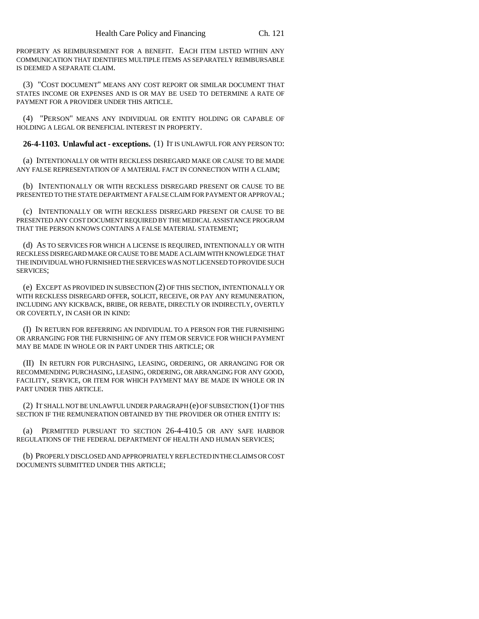PROPERTY AS REIMBURSEMENT FOR A BENEFIT. EACH ITEM LISTED WITHIN ANY COMMUNICATION THAT IDENTIFIES MULTIPLE ITEMS AS SEPARATELY REIMBURSABLE IS DEEMED A SEPARATE CLAIM.

(3) "COST DOCUMENT" MEANS ANY COST REPORT OR SIMILAR DOCUMENT THAT STATES INCOME OR EXPENSES AND IS OR MAY BE USED TO DETERMINE A RATE OF PAYMENT FOR A PROVIDER UNDER THIS ARTICLE.

(4) "PERSON" MEANS ANY INDIVIDUAL OR ENTITY HOLDING OR CAPABLE OF HOLDING A LEGAL OR BENEFICIAL INTEREST IN PROPERTY.

**26-4-1103. Unlawful act - exceptions.** (1) IT IS UNLAWFUL FOR ANY PERSON TO:

(a) INTENTIONALLY OR WITH RECKLESS DISREGARD MAKE OR CAUSE TO BE MADE ANY FALSE REPRESENTATION OF A MATERIAL FACT IN CONNECTION WITH A CLAIM;

(b) INTENTIONALLY OR WITH RECKLESS DISREGARD PRESENT OR CAUSE TO BE PRESENTED TO THE STATE DEPARTMENT A FALSE CLAIM FOR PAYMENT OR APPROVAL;

(c) INTENTIONALLY OR WITH RECKLESS DISREGARD PRESENT OR CAUSE TO BE PRESENTED ANY COST DOCUMENT REQUIRED BY THE MEDICAL ASSISTANCE PROGRAM THAT THE PERSON KNOWS CONTAINS A FALSE MATERIAL STATEMENT;

(d) AS TO SERVICES FOR WHICH A LICENSE IS REQUIRED, INTENTIONALLY OR WITH RECKLESS DISREGARD MAKE OR CAUSE TO BE MADE A CLAIM WITH KNOWLEDGE THAT THE INDIVIDUAL WHO FURNISHED THE SERVICES WAS NOT LICENSED TO PROVIDE SUCH SERVICES;

(e) EXCEPT AS PROVIDED IN SUBSECTION (2) OF THIS SECTION, INTENTIONALLY OR WITH RECKLESS DISREGARD OFFER, SOLICIT, RECEIVE, OR PAY ANY REMUNERATION, INCLUDING ANY KICKBACK, BRIBE, OR REBATE, DIRECTLY OR INDIRECTLY, OVERTLY OR COVERTLY, IN CASH OR IN KIND:

(I) IN RETURN FOR REFERRING AN INDIVIDUAL TO A PERSON FOR THE FURNISHING OR ARRANGING FOR THE FURNISHING OF ANY ITEM OR SERVICE FOR WHICH PAYMENT MAY BE MADE IN WHOLE OR IN PART UNDER THIS ARTICLE; OR

(II) IN RETURN FOR PURCHASING, LEASING, ORDERING, OR ARRANGING FOR OR RECOMMENDING PURCHASING, LEASING, ORDERING, OR ARRANGING FOR ANY GOOD, FACILITY, SERVICE, OR ITEM FOR WHICH PAYMENT MAY BE MADE IN WHOLE OR IN PART UNDER THIS ARTICLE.

(2) IT SHALL NOT BE UNLAWFUL UNDER PARAGRAPH (e) OF SUBSECTION (1) OF THIS SECTION IF THE REMUNERATION OBTAINED BY THE PROVIDER OR OTHER ENTITY IS:

(a) PERMITTED PURSUANT TO SECTION 26-4-410.5 OR ANY SAFE HARBOR REGULATIONS OF THE FEDERAL DEPARTMENT OF HEALTH AND HUMAN SERVICES;

(b) PROPERLY DISCLOSED AND APPROPRIATELY REFLECTED IN THE CLAIMS OR COST DOCUMENTS SUBMITTED UNDER THIS ARTICLE;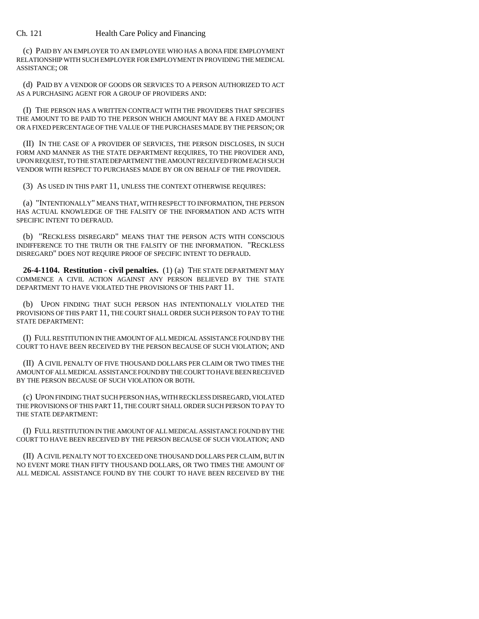## Ch. 121 Health Care Policy and Financing

(c) PAID BY AN EMPLOYER TO AN EMPLOYEE WHO HAS A BONA FIDE EMPLOYMENT RELATIONSHIP WITH SUCH EMPLOYER FOR EMPLOYMENT IN PROVIDING THE MEDICAL ASSISTANCE; OR

(d) PAID BY A VENDOR OF GOODS OR SERVICES TO A PERSON AUTHORIZED TO ACT AS A PURCHASING AGENT FOR A GROUP OF PROVIDERS AND:

(I) THE PERSON HAS A WRITTEN CONTRACT WITH THE PROVIDERS THAT SPECIFIES THE AMOUNT TO BE PAID TO THE PERSON WHICH AMOUNT MAY BE A FIXED AMOUNT OR A FIXED PERCENTAGE OF THE VALUE OF THE PURCHASES MADE BY THE PERSON; OR

(II) IN THE CASE OF A PROVIDER OF SERVICES, THE PERSON DISCLOSES, IN SUCH FORM AND MANNER AS THE STATE DEPARTMENT REQUIRES, TO THE PROVIDER AND, UPON REQUEST, TO THE STATE DEPARTMENT THE AMOUNT RECEIVED FROM EACH SUCH VENDOR WITH RESPECT TO PURCHASES MADE BY OR ON BEHALF OF THE PROVIDER.

(3) AS USED IN THIS PART 11, UNLESS THE CONTEXT OTHERWISE REQUIRES:

(a) "INTENTIONALLY" MEANS THAT, WITH RESPECT TO INFORMATION, THE PERSON HAS ACTUAL KNOWLEDGE OF THE FALSITY OF THE INFORMATION AND ACTS WITH SPECIFIC INTENT TO DEFRAUD.

(b) "RECKLESS DISREGARD" MEANS THAT THE PERSON ACTS WITH CONSCIOUS INDIFFERENCE TO THE TRUTH OR THE FALSITY OF THE INFORMATION. "RECKLESS DISREGARD" DOES NOT REQUIRE PROOF OF SPECIFIC INTENT TO DEFRAUD.

**26-4-1104. Restitution - civil penalties.** (1) (a) THE STATE DEPARTMENT MAY COMMENCE A CIVIL ACTION AGAINST ANY PERSON BELIEVED BY THE STATE DEPARTMENT TO HAVE VIOLATED THE PROVISIONS OF THIS PART 11.

(b) UPON FINDING THAT SUCH PERSON HAS INTENTIONALLY VIOLATED THE PROVISIONS OF THIS PART 11, THE COURT SHALL ORDER SUCH PERSON TO PAY TO THE STATE DEPARTMENT:

(I) FULL RESTITUTION IN THE AMOUNT OF ALL MEDICAL ASSISTANCE FOUND BY THE COURT TO HAVE BEEN RECEIVED BY THE PERSON BECAUSE OF SUCH VIOLATION; AND

(II) A CIVIL PENALTY OF FIVE THOUSAND DOLLARS PER CLAIM OR TWO TIMES THE AMOUNT OF ALL MEDICAL ASSISTANCE FOUND BY THE COURT TO HAVE BEEN RECEIVED BY THE PERSON BECAUSE OF SUCH VIOLATION OR BOTH.

(c) UPON FINDING THAT SUCH PERSON HAS, WITH RECKLESS DISREGARD, VIOLATED THE PROVISIONS OF THIS PART 11, THE COURT SHALL ORDER SUCH PERSON TO PAY TO THE STATE DEPARTMENT:

(I) FULL RESTITUTION IN THE AMOUNT OF ALL MEDICAL ASSISTANCE FOUND BY THE COURT TO HAVE BEEN RECEIVED BY THE PERSON BECAUSE OF SUCH VIOLATION; AND

(II) A CIVIL PENALTY NOT TO EXCEED ONE THOUSAND DOLLARS PER CLAIM, BUT IN NO EVENT MORE THAN FIFTY THOUSAND DOLLARS, OR TWO TIMES THE AMOUNT OF ALL MEDICAL ASSISTANCE FOUND BY THE COURT TO HAVE BEEN RECEIVED BY THE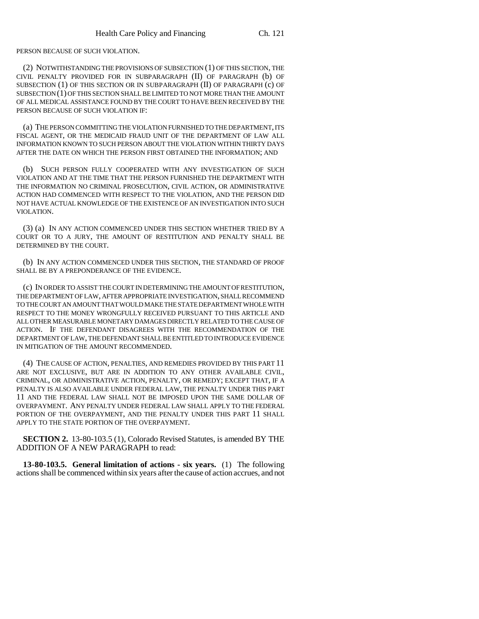PERSON BECAUSE OF SUCH VIOLATION.

(2) NOTWITHSTANDING THE PROVISIONS OF SUBSECTION (1) OF THIS SECTION, THE CIVIL PENALTY PROVIDED FOR IN SUBPARAGRAPH (II) OF PARAGRAPH (b) OF SUBSECTION (1) OF THIS SECTION OR IN SUBPARAGRAPH (II) OF PARAGRAPH (c) OF SUBSECTION (1) OF THIS SECTION SHALL BE LIMITED TO NOT MORE THAN THE AMOUNT OF ALL MEDICAL ASSISTANCE FOUND BY THE COURT TO HAVE BEEN RECEIVED BY THE PERSON BECAUSE OF SUCH VIOLATION IF:

(a) THE PERSON COMMITTING THE VIOLATION FURNISHED TO THE DEPARTMENT, ITS FISCAL AGENT, OR THE MEDICAID FRAUD UNIT OF THE DEPARTMENT OF LAW ALL INFORMATION KNOWN TO SUCH PERSON ABOUT THE VIOLATION WITHIN THIRTY DAYS AFTER THE DATE ON WHICH THE PERSON FIRST OBTAINED THE INFORMATION; AND

(b) SUCH PERSON FULLY COOPERATED WITH ANY INVESTIGATION OF SUCH VIOLATION AND AT THE TIME THAT THE PERSON FURNISHED THE DEPARTMENT WITH THE INFORMATION NO CRIMINAL PROSECUTION, CIVIL ACTION, OR ADMINISTRATIVE ACTION HAD COMMENCED WITH RESPECT TO THE VIOLATION, AND THE PERSON DID NOT HAVE ACTUAL KNOWLEDGE OF THE EXISTENCE OF AN INVESTIGATION INTO SUCH VIOLATION.

(3) (a) IN ANY ACTION COMMENCED UNDER THIS SECTION WHETHER TRIED BY A COURT OR TO A JURY, THE AMOUNT OF RESTITUTION AND PENALTY SHALL BE DETERMINED BY THE COURT.

(b) IN ANY ACTION COMMENCED UNDER THIS SECTION, THE STANDARD OF PROOF SHALL BE BY A PREPONDERANCE OF THE EVIDENCE.

(c) IN ORDER TO ASSIST THE COURT IN DETERMINING THE AMOUNT OF RESTITUTION, THE DEPARTMENT OF LAW, AFTER APPROPRIATE INVESTIGATION, SHALL RECOMMEND TO THE COURT AN AMOUNT THAT WOULD MAKE THE STATE DEPARTMENT WHOLE WITH RESPECT TO THE MONEY WRONGFULLY RECEIVED PURSUANT TO THIS ARTICLE AND ALL OTHER MEASURABLE MONETARY DAMAGES DIRECTLY RELATED TO THE CAUSE OF ACTION. IF THE DEFENDANT DISAGREES WITH THE RECOMMENDATION OF THE DEPARTMENT OF LAW, THE DEFENDANT SHALL BE ENTITLED TO INTRODUCE EVIDENCE IN MITIGATION OF THE AMOUNT RECOMMENDED.

(4) THE CAUSE OF ACTION, PENALTIES, AND REMEDIES PROVIDED BY THIS PART 11 ARE NOT EXCLUSIVE, BUT ARE IN ADDITION TO ANY OTHER AVAILABLE CIVIL, CRIMINAL, OR ADMINISTRATIVE ACTION, PENALTY, OR REMEDY; EXCEPT THAT, IF A PENALTY IS ALSO AVAILABLE UNDER FEDERAL LAW, THE PENALTY UNDER THIS PART 11 AND THE FEDERAL LAW SHALL NOT BE IMPOSED UPON THE SAME DOLLAR OF OVERPAYMENT. ANY PENALTY UNDER FEDERAL LAW SHALL APPLY TO THE FEDERAL PORTION OF THE OVERPAYMENT, AND THE PENALTY UNDER THIS PART 11 SHALL APPLY TO THE STATE PORTION OF THE OVERPAYMENT.

**SECTION 2.** 13-80-103.5 (1), Colorado Revised Statutes, is amended BY THE ADDITION OF A NEW PARAGRAPH to read:

**13-80-103.5. General limitation of actions - six years.** (1) The following actions shall be commenced within six years after the cause of action accrues, and not